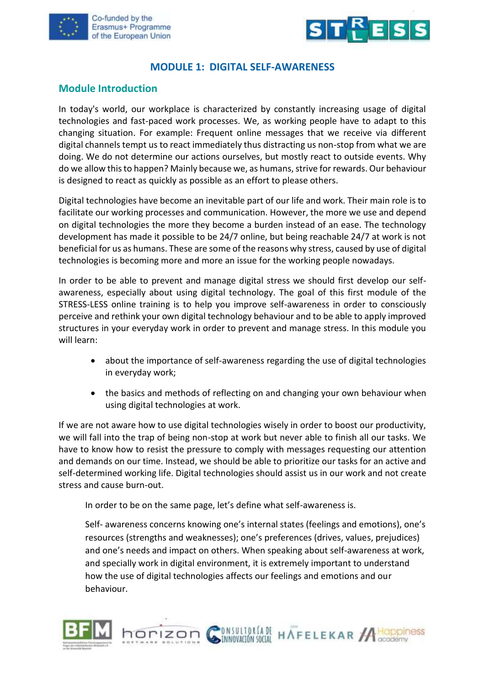



### **MODULE 1: DIGITAL SELF-AWARENESS**

#### **Module Introduction**

In today's world, our workplace is characterized by constantly increasing usage of digital technologies and fast-paced work processes. We, as working people have to adapt to this changing situation. For example: Frequent online messages that we receive via different digital channels tempt us to react immediately thus distracting us non-stop from what we are doing. We do not determine our actions ourselves, but mostly react to outside events. Why do we allow this to happen? Mainly because we, as humans, strive for rewards. Our behaviour is designed to react as quickly as possible as an effort to please others.

Digital technologies have become an inevitable part of our life and work. Their main role is to facilitate our working processes and communication. However, the more we use and depend on digital technologies the more they become a burden instead of an ease. The technology development has made it possible to be 24/7 online, but being reachable 24/7 at work is not beneficial for us as humans. These are some of the reasons why stress, caused by use of digital technologies is becoming more and more an issue for the working people nowadays.

In order to be able to prevent and manage digital stress we should first develop our selfawareness, especially about using digital technology. The goal of this first module of the STRESS-LESS online training is to help you improve self-awareness in order to consciously perceive and rethink your own digital technology behaviour and to be able to apply improved structures in your everyday work in order to prevent and manage stress. In this module you will learn:

- about the importance of self-awareness regarding the use of digital technologies in everyday work;
- the basics and methods of reflecting on and changing your own behaviour when using digital technologies at work.

If we are not aware how to use digital technologies wisely in order to boost our productivity, we will fall into the trap of being non-stop at work but never able to finish all our tasks. We have to know how to resist the pressure to comply with messages requesting our attention and demands on our time. Instead, we should be able to prioritize our tasks for an active and self-determined working life. Digital technologies should assist us in our work and not create stress and cause burn-out.

In order to be on the same page, let's define what self-awareness is.

Self- awareness concerns knowing one's internal states (feelings and emotions), one's resources (strengths and weaknesses); one's preferences (drives, values, prejudices) and one's needs and impact on others. When speaking about self-awareness at work, and specially work in digital environment, it is extremely important to understand how the use of digital technologies affects our feelings and emotions and our behaviour.



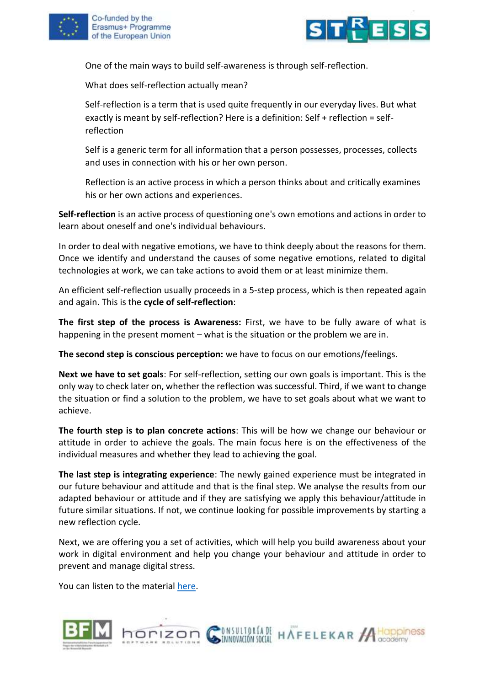



One of the main ways to build self-awareness is through self-reflection.

What does self-reflection actually mean?

Self-reflection is a term that is used quite frequently in our everyday lives. But what exactly is meant by self-reflection? Here is a definition: Self + reflection = selfreflection

Self is a generic term for all information that a person possesses, processes, collects and uses in connection with his or her own person.

Reflection is an active process in which a person thinks about and critically examines his or her own actions and experiences.

**Self-reflection** is an active process of questioning one's own emotions and actions in order to learn about oneself and one's individual behaviours.

In order to deal with negative emotions, we have to think deeply about the reasons for them. Once we identify and understand the causes of some negative emotions, related to digital technologies at work, we can take actions to avoid them or at least minimize them.

An efficient self-reflection usually proceeds in a 5-step process, which is then repeated again and again. This is the **cycle of self-reflection**:

**The first step of the process is Awareness:** First, we have to be fully aware of what is happening in the present moment – what is the situation or the problem we are in.

**The second step is conscious perception:** we have to focus on our emotions/feelings.

**Next we have to set goals**: For self-reflection, setting our own goals is important. This is the only way to check later on, whether the reflection was successful. Third, if we want to change the situation or find a solution to the problem, we have to set goals about what we want to achieve.

**The fourth step is to plan concrete actions**: This will be how we change our behaviour or attitude in order to achieve the goals. The main focus here is on the effectiveness of the individual measures and whether they lead to achieving the goal.

**The last step is integrating experience**: The newly gained experience must be integrated in our future behaviour and attitude and that is the final step. We analyse the results from our adapted behaviour or attitude and if they are satisfying we apply this behaviour/attitude in future similar situations. If not, we continue looking for possible improvements by starting a new reflection cycle.

Next, we are offering you a set of activities, which will help you build awareness about your work in digital environment and help you change your behaviour and attitude in order to prevent and manage digital stress.

You can listen to the material [here.](https://youtu.be/A8RGOdDFwYk)



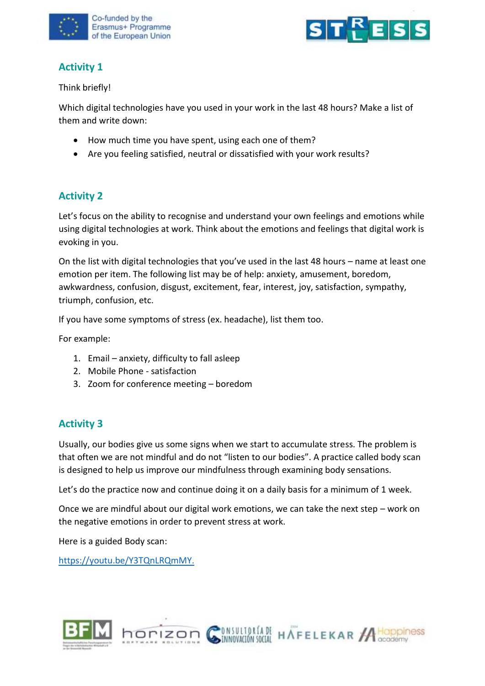



# **Activity 1**

Think briefly!

Which digital technologies have you used in your work in the last 48 hours? Make a list of them and write down:

- How much time you have spent, using each one of them?
- Are you feeling satisfied, neutral or dissatisfied with your work results?

### **Activity 2**

Let's focus on the ability to recognise and understand your own feelings and emotions while using digital technologies at work. Think about the emotions and feelings that digital work is evoking in you.

On the list with digital technologies that you've used in the last 48 hours – name at least one emotion per item. The following list may be of help: anxiety, amusement, boredom, awkwardness, confusion, disgust, excitement, fear, interest, joy, satisfaction, sympathy, triumph, confusion, etc.

If you have some symptoms of stress (ex. headache), list them too.

For example:

- 1. Email anxiety, difficulty to fall asleep
- 2. Mobile Phone satisfaction
- 3. Zoom for conference meeting boredom

### **Activity 3**

Usually, our bodies give us some signs when we start to accumulate stress. The problem is that often we are not mindful and do not "listen to our bodies". A practice called body scan is designed to help us improve our mindfulness through examining body sensations.

Let's do the practice now and continue doing it on a daily basis for a minimum of 1 week.

Once we are mindful about our digital work emotions, we can take the next step – work on the negative emotions in order to prevent stress at work.

ONSULTORÍA DE HAFELEKAR A HOppiness

Here is a guided Body scan:

[https://youtu.be/Y3TQnLRQmMY.](https://youtu.be/Y3TQnLRQmMY)

horizon

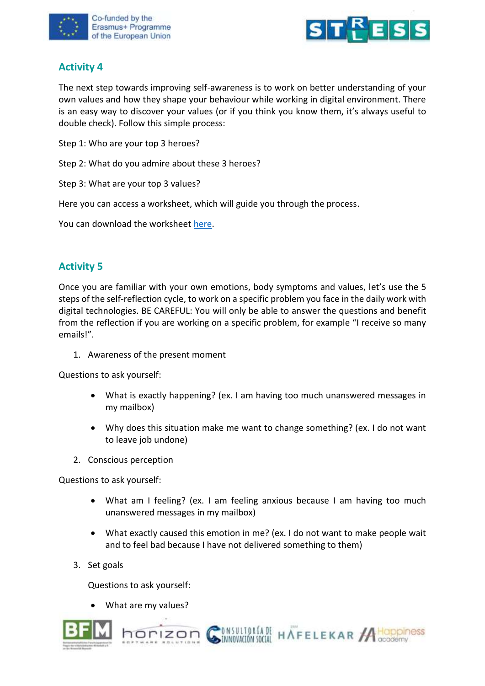



## **Activity 4**

The next step towards improving self-awareness is to work on better understanding of your own values and how they shape your behaviour while working in digital environment. There is an easy way to discover your values (or if you think you know them, it's always useful to double check). Follow this simple process:

Step 1: Who are your top 3 heroes?

Step 2: What do you admire about these 3 heroes?

Step 3: What are your top 3 values?

Here you can access a worksheet, which will guide you through the process.

You can download the worksheet [here.](https://www.stress-less-project.eu/uploads/My%20Values.pdf)

# **Activity 5**

Once you are familiar with your own emotions, body symptoms and values, let's use the 5 steps of the self-reflection cycle, to work on a specific problem you face in the daily work with digital technologies. BE CAREFUL: You will only be able to answer the questions and benefit from the reflection if you are working on a specific problem, for example "I receive so many emails!".

1. Awareness of the present moment

Questions to ask yourself:

- What is exactly happening? (ex. I am having too much unanswered messages in my mailbox)
- Why does this situation make me want to change something? (ex. I do not want to leave job undone)
- 2. Conscious perception

Questions to ask yourself:

- What am I feeling? (ex. I am feeling anxious because I am having too much unanswered messages in my mailbox)
- What exactly caused this emotion in me? (ex. I do not want to make people wait and to feel bad because I have not delivered something to them)

**DISULTORÍA DE HAFELEKAR A HOppiness** 

3. Set goals

Questions to ask yourself:

• What are my values?

horizon

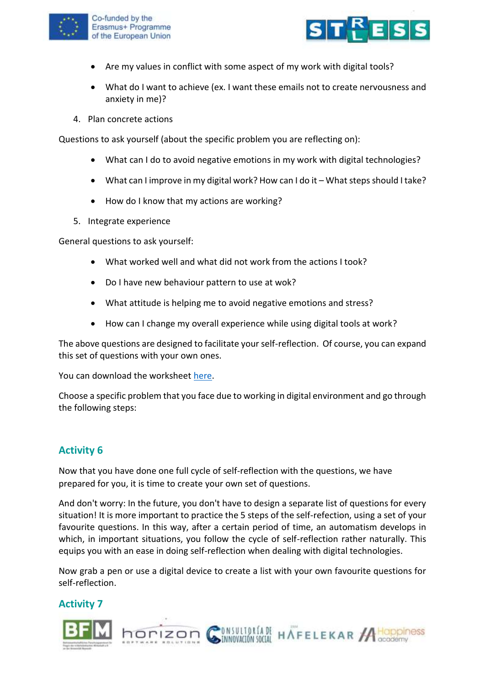



- Are my values in conflict with some aspect of my work with digital tools?
- What do I want to achieve (ex. I want these emails not to create nervousness and anxiety in me)?
- 4. Plan concrete actions

Questions to ask yourself (about the specific problem you are reflecting on):

- What can I do to avoid negative emotions in my work with digital technologies?
- What can I improve in my digital work? How can I do it What steps should I take?
- How do I know that my actions are working?
- 5. Integrate experience

General questions to ask yourself:

- What worked well and what did not work from the actions I took?
- Do I have new behaviour pattern to use at wok?
- What attitude is helping me to avoid negative emotions and stress?
- How can I change my overall experience while using digital tools at work?

The above questions are designed to facilitate your self-reflection. Of course, you can expand this set of questions with your own ones.

You can download the worksheet [here.](https://www.stress-less-project.eu/uploads/SELF-REFLECTION%20CYCLE.pdf)

Choose a specific problem that you face due to working in digital environment and go through the following steps:

#### **Activity 6**

Now that you have done one full cycle of self-reflection with the questions, we have prepared for you, it is time to create your own set of questions.

And don't worry: In the future, you don't have to design a separate list of questions for every situation! It is more important to practice the 5 steps of the self-refection, using a set of your favourite questions. In this way, after a certain period of time, an automatism develops in which, in important situations, you follow the cycle of self-reflection rather naturally. This equips you with an ease in doing self-reflection when dealing with digital technologies.

Now grab a pen or use a digital device to create a list with your own favourite questions for self-reflection.

**Activity 7** 

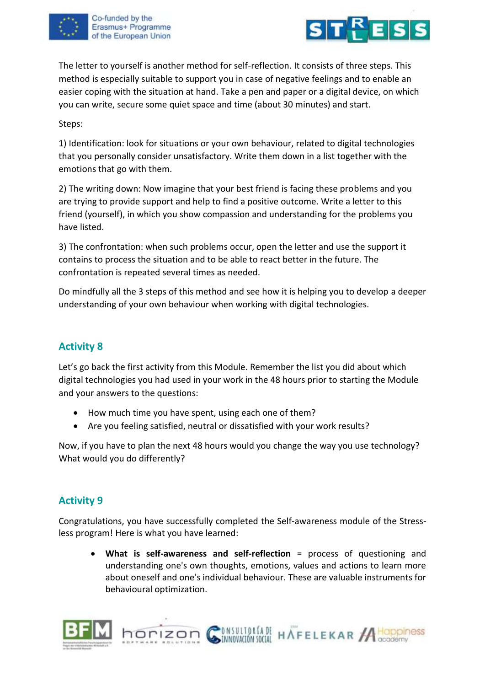



The letter to yourself is another method for self-reflection. It consists of three steps. This method is especially suitable to support you in case of negative feelings and to enable an easier coping with the situation at hand. Take a pen and paper or a digital device, on which you can write, secure some quiet space and time (about 30 minutes) and start.

Steps:

1) Identification: look for situations or your own behaviour, related to digital technologies that you personally consider unsatisfactory. Write them down in a list together with the emotions that go with them.

2) The writing down: Now imagine that your best friend is facing these problems and you are trying to provide support and help to find a positive outcome. Write a letter to this friend (yourself), in which you show compassion and understanding for the problems you have listed.

3) The confrontation: when such problems occur, open the letter and use the support it contains to process the situation and to be able to react better in the future. The confrontation is repeated several times as needed.

Do mindfully all the 3 steps of this method and see how it is helping you to develop a deeper understanding of your own behaviour when working with digital technologies.

# **Activity 8**

Let's go back the first activity from this Module. Remember the list you did about which digital technologies you had used in your work in the 48 hours prior to starting the Module and your answers to the questions:

• How much time you have spent, using each one of them?

horizon

• Are you feeling satisfied, neutral or dissatisfied with your work results?

Now, if you have to plan the next 48 hours would you change the way you use technology? What would you do differently?

# **Activity 9**

Congratulations, you have successfully completed the Self-awareness module of the Stressless program! Here is what you have learned:

• **What is self-awareness and self-reflection** = process of questioning and understanding one's own thoughts, emotions, values and actions to learn more about oneself and one's individual behaviour. These are valuable instruments for behavioural optimization.

**DISULTORÍA DE HAFELEKAR A HOPPINES**